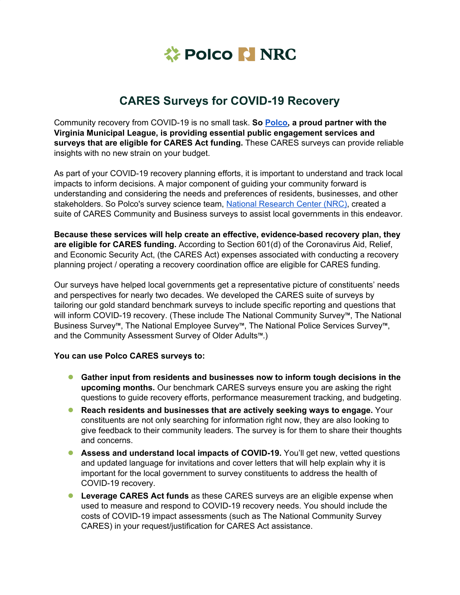

## **CARES Surveys for COVID-19 Recovery**

Community recovery from COVID-19 is no small task. **So [Polco,](https://polco.us/) a proud partner with the Virginia Municipal League, is providing essential public engagement services and surveys that are eligible for CARES Act funding.** These CARES surveys can provide reliable insights with no new strain on your budget.

As part of your COVID-19 recovery planning efforts, it is important to understand and track local impacts to inform decisions. A major component of guiding your community forward is understanding and considering the needs and preferences of residents, businesses, and other stakeholders. So Polco's survey science team, National [Research](https://www.n-r-c.com/) Center (NRC), created a suite of CARES Community and Business surveys to assist local governments in this endeavor.

**Because these services will help create an effective, evidence-based recovery plan, they are eligible for CARES funding.** According to Section 601(d) of the Coronavirus Aid, Relief, and Economic Security Act, (the CARES Act) expenses associated with conducting a recovery planning project / operating a recovery coordination office are eligible for CARES funding.

Our surveys have helped local governments get a representative picture of constituents' needs and perspectives for nearly two decades. We developed the CARES suite of surveys by tailoring our gold standard benchmark surveys to include specific reporting and questions that will inform COVID-19 recovery. (These include The National Community Survey™, The National Business Survey™, The National Employee Survey™, The National Police Services Survey™, and the Community Assessment Survey of Older Adults™.)

## **You can use Polco CARES surveys to:**

- **Gather input from residents and businesses now to inform tough decisions in the upcoming months.** Our benchmark CARES surveys ensure you are asking the right questions to guide recovery efforts, performance measurement tracking, and budgeting.
- **Reach residents and businesses that are actively seeking ways to engage.** Your constituents are not only searching for information right now, they are also looking to give feedback to their community leaders. The survey is for them to share their thoughts and concerns.
- **Assess and understand local impacts of COVID-19.** You'll get new, vetted questions and updated language for invitations and cover letters that will help explain why it is important for the local government to survey constituents to address the health of COVID-19 recovery.
- **Leverage CARES Act funds** as these CARES surveys are an eligible expense when used to measure and respond to COVID-19 recovery needs. You should include the costs of COVID-19 impact assessments (such as The National Community Survey CARES) in your request/justification for CARES Act assistance.